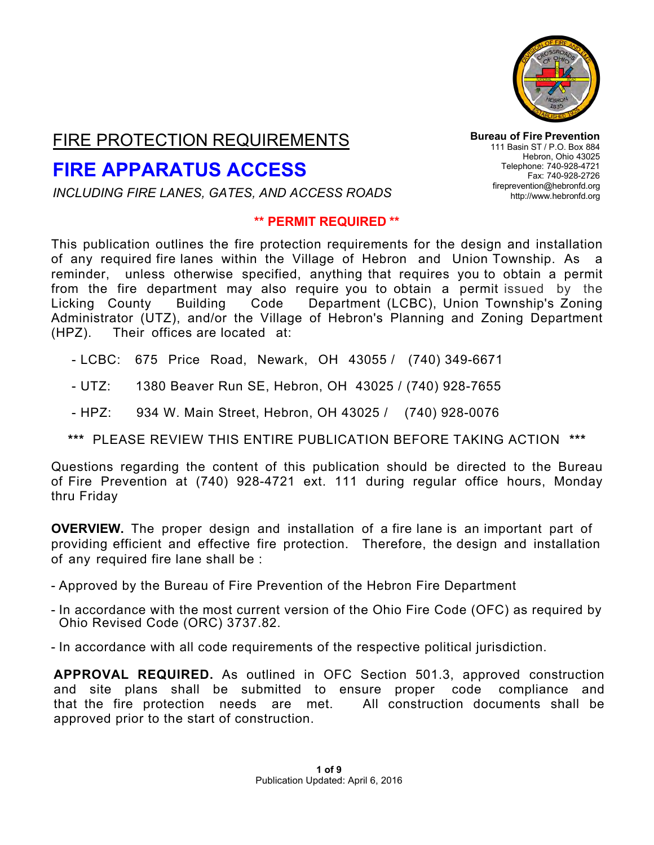

## FIRE PROTECTION REQUIREMENTS

# **FIRE APPARATUS ACCESS**

*INCLUDING FIRE LANES, GATES, AND ACCESS ROADS*

#### **\*\* PERMIT REQUIRED \*\***

**Bureau of Fire Prevention** 111 Basin ST / P.O. Box 884 Hebron, Ohio 43025 Telephone: 740-928-4721 Fax: 740-928-2726 [fireprevention@hebronfd.org](mailto:fireprevention@hebronfd.org) [http://www.hebronfd.org](http://www.hebronfd.org/)

This publication outlines the fire protection requirements for the design and installation of any required fire lanes within the Village of Hebron and Union Township. As a reminder, unless otherwise specified, anything that requires you to obtain a permit from the fire department may also require you to obtain a permit issued by the Licking County Building Code Department (LCBC), Union Township's Zoning Administrator (UTZ), and/or the Village of Hebron's Planning and Zoning Department (HPZ). Their offices are located at:

- LCBC: 675 Price Road, Newark, OH 43055 / (740) 349-6671

- UTZ: 1380 Beaver Run SE, Hebron, OH 43025 / (740) 928-7655
- HPZ: 934 W. Main Street, Hebron, OH 43025 / (740) 928-0076

### **\*\*\*** PLEASE REVIEW THIS ENTIRE PUBLICATION BEFORE TAKING ACTION **\*\*\***

Questions regarding the content of this publication should be directed to the Bureau of Fire Prevention at (740) 928-4721 ext. 111 during regular office hours, Monday thru Friday

**OVERVIEW.** The proper design and installation of a fire lane is an important part of providing efficient and effective fire protection. Therefore, the design and installation of any required fire lane shall be :

- Approved by the Bureau of Fire Prevention of the Hebron Fire Department
- In accordance with the most current version of the Ohio Fire Code (OFC) as required by Ohio Revised Code (ORC) 3737.82.
- In accordance with all code requirements of the respective political jurisdiction.

**APPROVAL REQUIRED.** As outlined in OFC Section 501.3, approved construction and site plans shall be submitted to ensure proper code compliance and that the fire protection needs are met. All construction documents shall be approved prior to the start of construction.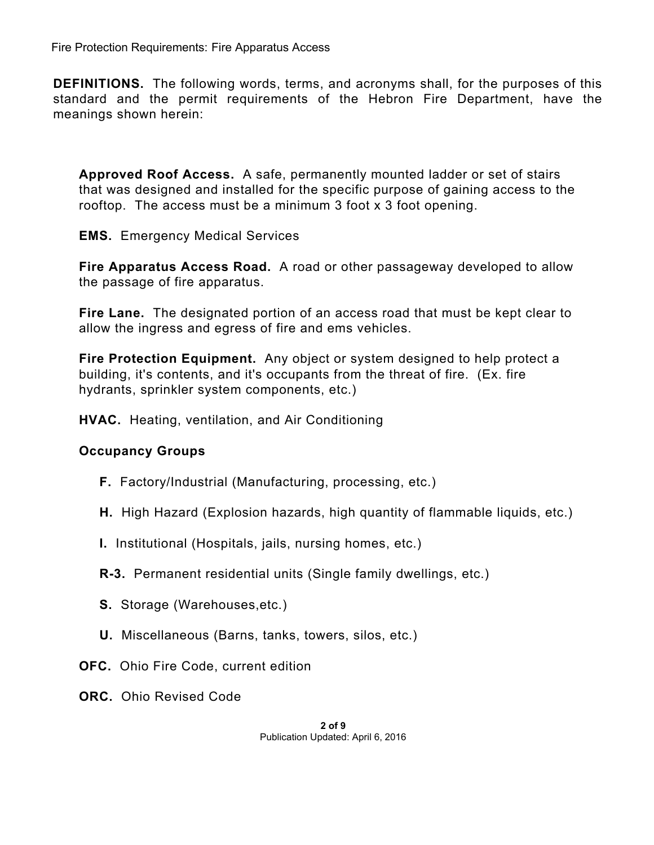**DEFINITIONS.** The following words, terms, and acronyms shall, for the purposes of this standard and the permit requirements of the Hebron Fire Department, have the meanings shown herein:

**Approved Roof Access.** A safe, permanently mounted ladder or set of stairs that was designed and installed for the specific purpose of gaining access to the rooftop. The access must be a minimum 3 foot x 3 foot opening.

**EMS.** Emergency Medical Services

**Fire Apparatus Access Road.** A road or other passageway developed to allow the passage of fire apparatus.

**Fire Lane.** The designated portion of an access road that must be kept clear to allow the ingress and egress of fire and ems vehicles.

**Fire Protection Equipment.** Any object or system designed to help protect a building, it's contents, and it's occupants from the threat of fire. (Ex. fire hydrants, sprinkler system components, etc.)

**HVAC.** Heating, ventilation, and Air Conditioning

### **Occupancy Groups**

- **F.** Factory/Industrial (Manufacturing, processing, etc.)
- **H.** High Hazard (Explosion hazards, high quantity of flammable liquids, etc.)
- **I.** Institutional (Hospitals, jails, nursing homes, etc.)
- **R-3.** Permanent residential units (Single family dwellings, etc.)
- **S.** Storage (Warehouses,etc.)
- **U.** Miscellaneous (Barns, tanks, towers, silos, etc.)
- **OFC.** Ohio Fire Code, current edition
- **ORC.** Ohio Revised Code

**2 of 9** Publication Updated: April 6, 2016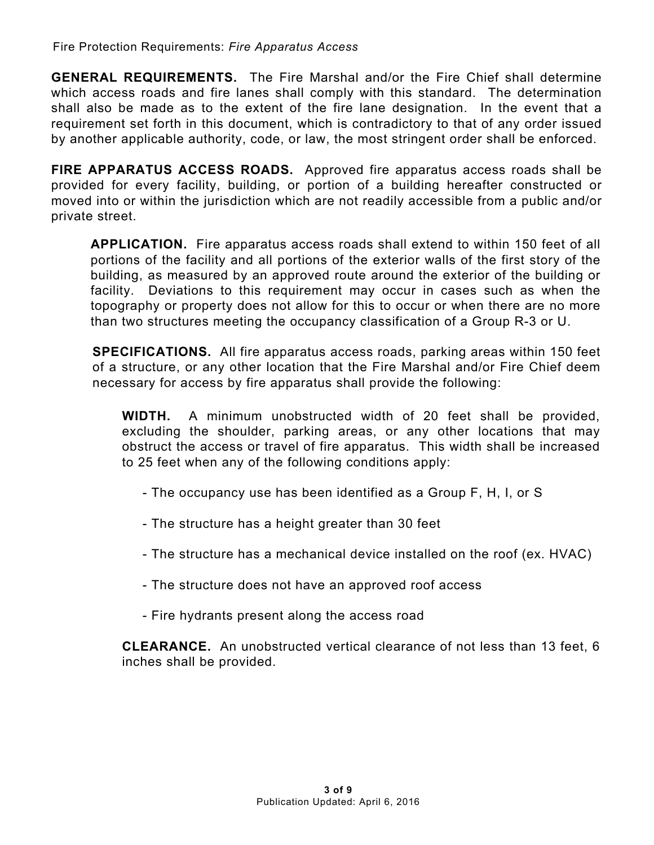**GENERAL REQUIREMENTS.** The Fire Marshal and/or the Fire Chief shall determine which access roads and fire lanes shall comply with this standard. The determination shall also be made as to the extent of the fire lane designation. In the event that a requirement set forth in this document, which is contradictory to that of any order issued by another applicable authority, code, or law, the most stringent order shall be enforced.

**FIRE APPARATUS ACCESS ROADS.** Approved fire apparatus access roads shall be provided for every facility, building, or portion of a building hereafter constructed or moved into or within the jurisdiction which are not readily accessible from a public and/or private street.

**APPLICATION.** Fire apparatus access roads shall extend to within 150 feet of all portions of the facility and all portions of the exterior walls of the first story of the building, as measured by an approved route around the exterior of the building or facility. Deviations to this requirement may occur in cases such as when the topography or property does not allow for this to occur or when there are no more than two structures meeting the occupancy classification of a Group R-3 or U.

**SPECIFICATIONS.** All fire apparatus access roads, parking areas within 150 feet of a structure, or any other location that the Fire Marshal and/or Fire Chief deem necessary for access by fire apparatus shall provide the following:

**WIDTH.** A minimum unobstructed width of 20 feet shall be provided, excluding the shoulder, parking areas, or any other locations that may obstruct the access or travel of fire apparatus. This width shall be increased to 25 feet when any of the following conditions apply:

- The occupancy use has been identified as a Group F, H, I, or S
- The structure has a height greater than 30 feet
- The structure has a mechanical device installed on the roof (ex. HVAC)
- The structure does not have an approved roof access
- Fire hydrants present along the a[ccess road](http://www.hebronfd.org/forms/fpsp.pdf)

**CLEARANCE.** An unobstructed vertical clearance of not less than 13 feet, 6 inches shall be provided.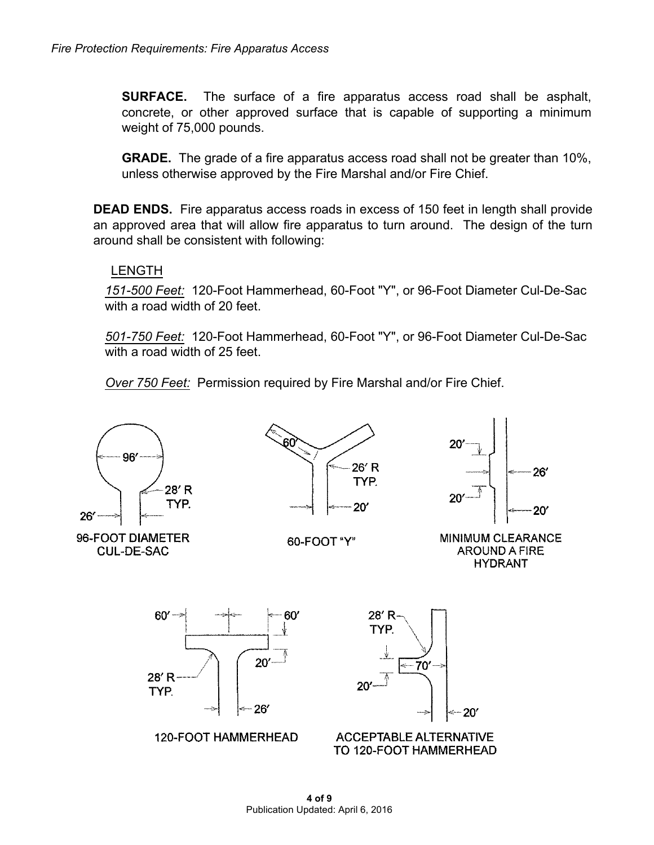**SURFACE.** The surface of a fire apparatus access road shall be asphalt, concrete, or other approved surface that is capable of supporting a minimum weight of 75,000 pounds.

**GRADE.** The grade of a fire apparatus access road shall not be greater than 10%, unless otherwise approved by the Fire Marshal and/or Fire Chief.

**DEAD ENDS.** Fire apparatus access roads in excess of 150 feet in length shall provide an approved area that will allow fire apparatus to turn around. The design of the turn around shall be consistent with following:

### LENGTH

*151-500 Feet:* 120-Foot Hammerhead, 60-Foot "Y", or 96-Foot Diameter Cul-De-Sac with a road width of 20 feet.

*501-750 Feet:* 120-Foot Hammerhead, 60-Foot "Y", or 96-Foot Diameter Cul-De-Sac with a road width of 25 feet.

*Over 750 Feet:* Permission required by Fire Marshal and/or Fire Chief.



**CUL-DE-SAC** 



60-FOOT "Y"





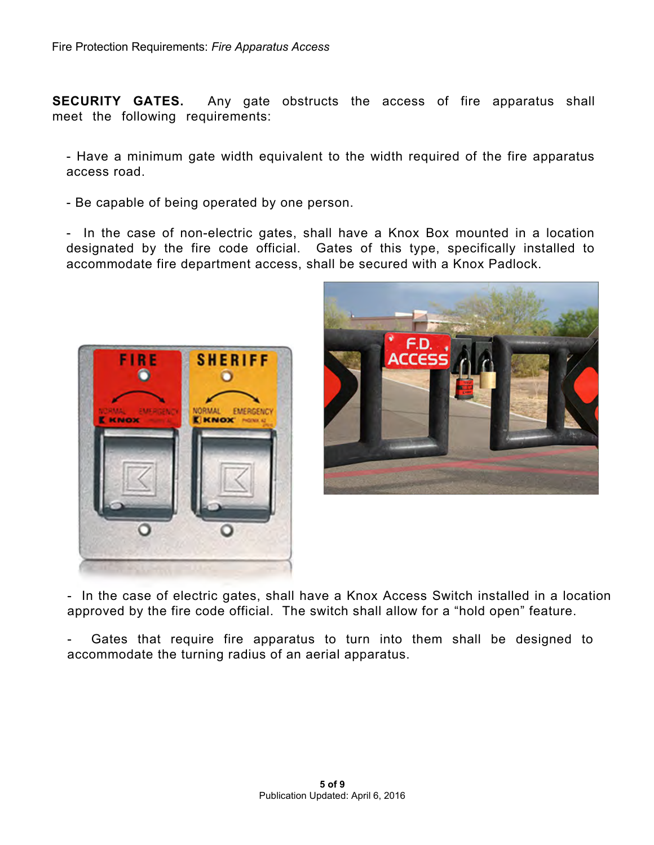**SECURITY GATES.** Any gate obstructs the access of fire apparatus shall meet the following requirements:

- Have a minimum gate width equivalent to the width required of the fire apparatus access road.

- Be capable of being operated by one person.

- In the case of non-electric gates, shall have a Knox Box mounted in a location designated by the fire code official. Gates of this type, specifically installed to accommodate fire department access, shall be secured with a Knox Padlock.





- In the case of electric gates, shall have a Knox Access Switch installed in a location approved by the fire code official. The switch shall allow for a "hold open" feature.

Gates that require fire apparatus to turn into them shall be designed to accommodate the turning radius of an aerial apparatus.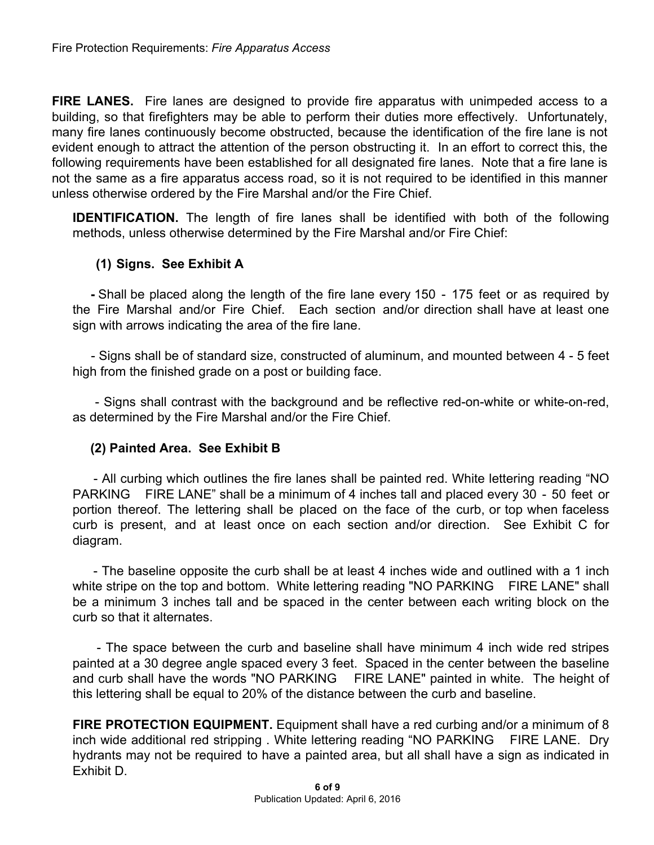**FIRE LANES.** Fire lanes are designed to provide fire apparatus with unimpeded access to a building, so that firefighters may be able to perform their duties more effectively. Unfortunately, many fire lanes continuously become obstructed, because the identification of the fire lane is not evident enough to attract the attention of the person obstructing it. In an effort to correct this, the following requirements have been established for all designated fire lanes. Note that a fire lane is not the same as a fire apparatus access road, so it is not required to be identified in this manner unless otherwise ordered by the Fire Marshal and/or the Fire Chief.

**IDENTIFICATION.** The length of fire lanes shall be identified with both of the following methods, unless otherwise determined by the Fire Marshal and/or Fire Chief:

### **(1) Signs. See Exhibit A**

**-** Shall be placed along the length of the fire lane every 150 - 175 feet or as required by the Fire Marshal and/or Fire Chief. Each section and/or direction shall have at least one sign with arrows indicating the area of the fire lane.

- Signs shall be of standard size, constructed of aluminum, and mounted between 4 - 5 feet high from the finished grade on a post or building face.

- Signs shall contrast with the background and be reflective red-on-white or white-on-red, as determined by the Fire Marshal and/or the Fire Chief.

#### **(2) Painted Area. See Exhibit B**

- All curbing which outlines the fire lanes shall be painted red. White lettering reading "NO PARKING FIRE LANE" shall be a minimum of 4 inches tall and placed every 30 - 50 feet or portion thereof. The lettering shall be placed on the face of the curb, or top when faceless curb is present, and at least once on each section and/or direction. See Exhibit C for diagram.

- The baseline opposite the curb shall be at least 4 inches wide and outlined with a 1 inch white stripe on the top and bottom. White lettering reading "NO PARKING FIRE LANE" shall be a minimum 3 inches tall and be spaced in the center between each writing block on the curb so that it alternates.

- The space between the curb and baseline shall have minimum 4 inch wide red stripes painted at a 30 degree angle spaced every 3 feet. Spaced in the center between the baseline and curb shall have the words "NO PARKING FIRE LANE" painted in white. The height of this lettering shall be equal to 20% of the distance between the curb and baseline.

**FIRE PROTECTION EQUIPMENT.** Equipment shall have a red curbing and/or a minimum of 8 inch wide additional red stripping . White lettering reading "NO PARKING FIRE LANE. Dry hydrants may not be required to have a painted area, but all shall have a sign as indicated in Exhibit D.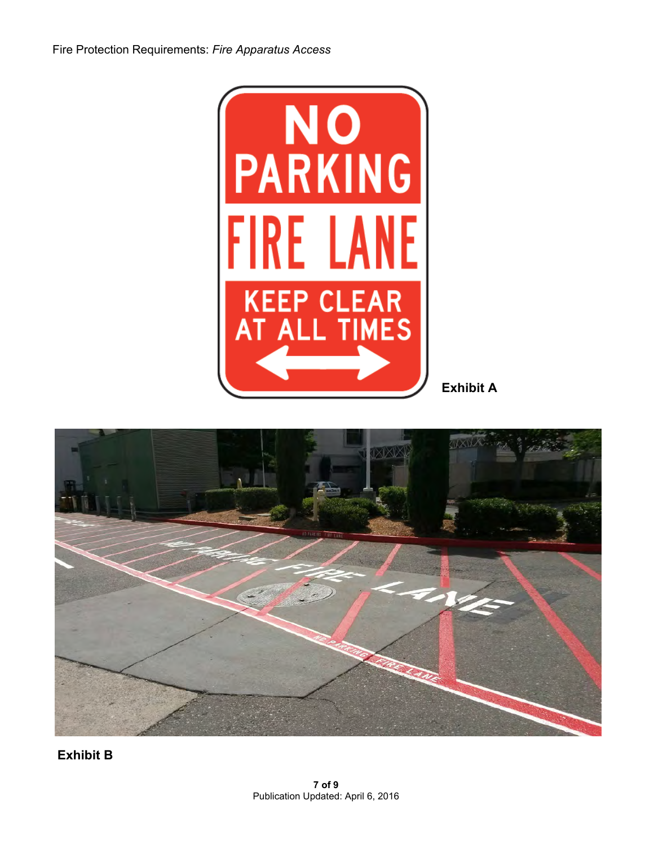

**Exhibit A**



**Exhibit B**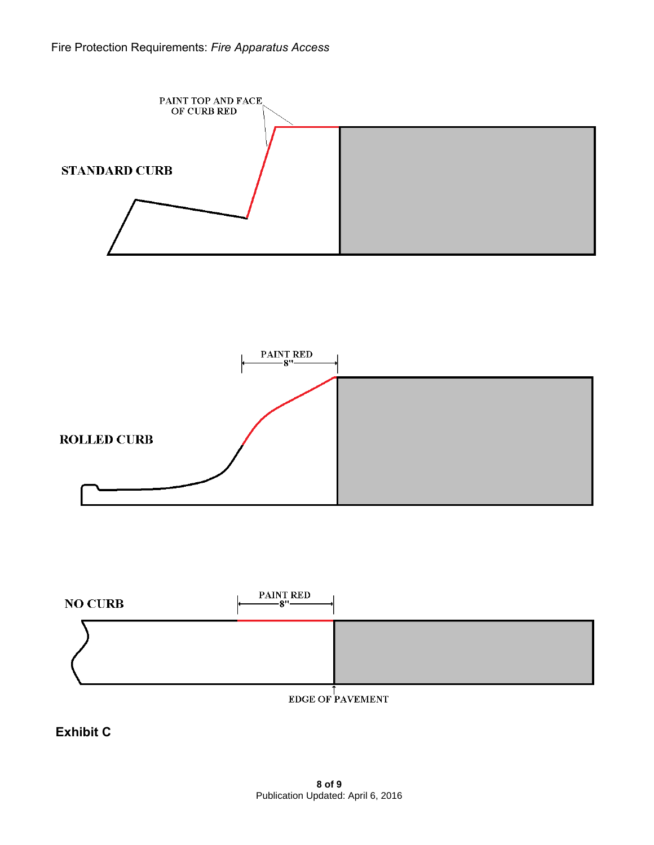





**Exhibit C**